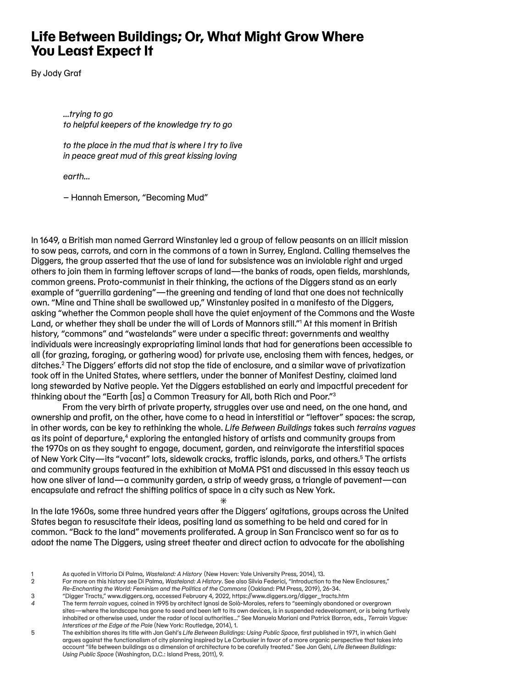## **Life Between Buildings; Or, What Might Grow Where You Least Expect It**

By Jody Graf

*…trying to go to helpful keepers of the knowledge try to go*

*to the place in the mud that is where I try to live in peace great mud of this great kissing loving* 

*earth…*

– Hannah Emerson, "Becoming Mud"

In 1649, a British man named Gerrard Winstanley led a group of fellow peasants on an illicit mission to sow peas, carrots, and corn in the commons of a town in Surrey, England. Calling themselves the Diggers, the group asserted that the use of land for subsistence was an inviolable right and urged others to join them in farming leftover scraps of land—the banks of roads, open fields, marshlands, common greens. Proto-communist in their thinking, the actions of the Diggers stand as an early example of "guerrilla gardening"—the greening and tending of land that one does not technically own. "Mine and Thine shall be swallowed up," Winstanley posited in a manifesto of the Diggers, asking "whether the Common people shall have the quiet enjoyment of the Commons and the Waste Land, or whether they shall be under the will of Lords of Mannors still."1 At this moment in British history, "commons" and "wastelands" were under a specific threat: governments and wealthy individuals were increasingly expropriating liminal lands that had for generations been accessible to all (for grazing, foraging, or gathering wood) for private use, enclosing them with fences, hedges, or ditches.2 The Diggers' efforts did not stop the tide of enclosure, and a similar wave of privatization took off in the United States, where settlers, under the banner of Manifest Destiny, claimed land long stewarded by Native people. Yet the Diggers established an early and impactful precedent for thinking about the "Earth [as] a Common Treasury for All, both Rich and Poor."3

From the very birth of private property, struggles over use and need, on the one hand, and ownership and profit, on the other, have come to a head in interstitial or "leftover" spaces: the scrap, in other words, can be key to rethinking the whole. *Life Between Buildings* takes such *terrains vagues* as its point of departure,<sup>4</sup> exploring the entangled history of artists and community groups from the 1970s on as they sought to engage, document, garden, and reinvigorate the interstitial spaces of New York City—its "vacant" lots, sidewalk cracks, traffic islands, parks, and others.<sup>5</sup> The artists and community groups featured in the exhibition at MoMA PS1 and discussed in this essay teach us how one sliver of land—a community garden, a strip of weedy grass, a triangle of pavement—can encapsulate and refract the shifting politics of space in a city such as New York.

In the late 1960s, some three hundred years after the Diggers' agitations, groups across the United States began to resuscitate their ideas, positing land as something to be held and cared for in common. "Back to the land" movements proliferated. A group in San Francisco went so far as to adopt the name The Diggers, using street theater and direct action to advocate for the abolishing

 $\ast$ 

<sup>1</sup> As quoted in Vittoria Di Palma, *Wasteland: A History* (New Haven: Yale University Press, 2014), 13.

<sup>2</sup> For more on this history see Di Palma, *Wasteland: A History*. See also Silvia Federici, "Introduction to the New Enclosures,"

*Re-Enchanting the World: Feminism and the Politics of the Commons* (Oakland: PM Press, 2019), 26-34.

<sup>3</sup> "Digger Tracts," www.diggers.org, accessed February 4, 2022, https://www.diggers.org/digger\_tracts.htm

*<sup>4</sup>* The term *terrain vagues*, coined in 1995 by architect Ignasi de Solà-Morales, refers to "seemingly abandoned or overgrown sites—where the landscape has gone to seed and been left to its own devices, is in suspended redevelopment, or is being furtively inhabited or otherwise used, under the radar of local authorities…" See Manuela Mariani and Patrick Barron, eds., *Terrain Vague: Interstices at the Edge of the Pale* (New York: Routledge, 2014), 1.

<sup>5</sup> The exhibition shares its title with Jan Gehl's *Life Between Buildings: Using Public Space*, first published in 1971, in which Gehl argues against the functionalism of city planning inspired by Le Corbusier in favor of a more organic perspective that takes into account "life between buildings as a dimension of architecture to be carefully treated." See Jan Gehl, *Life Between Buildings: Using Public Space* (Washington, D.C.: Island Press, 2011), 9.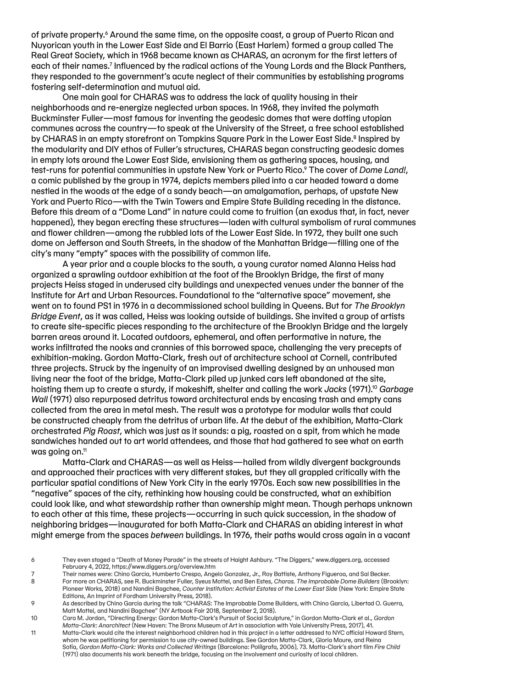of private property.6 Around the same time, on the opposite coast, a group of Puerto Rican and Nuyorican youth in the Lower East Side and El Barrio (East Harlem) formed a group called The Real Great Society, which in 1968 became known as CHARAS, an acronym for the first letters of each of their names.<sup>7</sup> Influenced by the radical actions of the Young Lords and the Black Panthers, they responded to the government's acute neglect of their communities by establishing programs fostering self-determination and mutual aid.

One main goal for CHARAS was to address the lack of quality housing in their neighborhoods and re-energize neglected urban spaces. In 1968, they invited the polymath Buckminster Fuller—most famous for inventing the geodesic domes that were dotting utopian communes across the country—to speak at the University of the Street, a free school established by CHARAS in an empty storefront on Tompkins Square Park in the Lower East Side.<sup>8</sup> Inspired by the modularity and DIY ethos of Fuller's structures, CHARAS began constructing geodesic domes in empty lots around the Lower East Side, envisioning them as gathering spaces, housing, and test-runs for potential communities in upstate New York or Puerto Rico.9 The cover of *Dome Land!*, a comic published by the group in 1974, depicts members piled into a car headed toward a dome nestled in the woods at the edge of a sandy beach—an amalgamation, perhaps, of upstate New York and Puerto Rico—with the Twin Towers and Empire State Building receding in the distance. Before this dream of a "Dome Land" in nature could come to fruition (an exodus that, in fact, never happened), they began erecting these structures—laden with cultural symbolism of rural communes and flower children—among the rubbled lots of the Lower East Side. In 1972, they built one such dome on Jefferson and South Streets, in the shadow of the Manhattan Bridge—filling one of the city's many "empty" spaces with the possibility of common life.

A year prior and a couple blocks to the south, a young curator named Alanna Heiss had organized a sprawling outdoor exhibition at the foot of the Brooklyn Bridge, the first of many projects Heiss staged in underused city buildings and unexpected venues under the banner of the Institute for Art and Urban Resources. Foundational to the "alternative space" movement, she went on to found PS1 in 1976 in a decommissioned school building in Queens. But for *The Brooklyn Bridge Event*, as it was called, Heiss was looking outside of buildings. She invited a group of artists to create site-specific pieces responding to the architecture of the Brooklyn Bridge and the largely barren areas around it. Located outdoors, ephemeral, and often performative in nature, the works infiltrated the nooks and crannies of this borrowed space, challenging the very precepts of exhibition-making. Gordon Matta-Clark, fresh out of architecture school at Cornell, contributed three projects. Struck by the ingenuity of an improvised dwelling designed by an unhoused man living near the foot of the bridge, Matta-Clark piled up junked cars left abandoned at the site, hoisting them up to create a sturdy, if makeshift, shelter and calling the work *Jacks* (1971).10 *Garbage Wall* (1971) also repurposed detritus toward architectural ends by encasing trash and empty cans collected from the area in metal mesh. The result was a prototype for modular walls that could be constructed cheaply from the detritus of urban life. At the debut of the exhibition, Matta-Clark orchestrated *Pig Roast*, which was just as it sounds: a pig, roasted on a spit, from which he made sandwiches handed out to art world attendees, and those that had gathered to see what on earth was going on.11

Matta-Clark and CHARAS—as well as Heiss—hailed from wildly divergent backgrounds and approached their practices with very different stakes, but they all grappled critically with the particular spatial conditions of New York City in the early 1970s. Each saw new possibilities in the "negative" spaces of the city, rethinking how housing could be constructed, what an exhibition could look like, and what stewardship rather than ownership might mean. Though perhaps unknown to each other at this time, these projects—occurring in such quick succession, in the shadow of neighboring bridges—inaugurated for both Matta-Clark and CHARAS an abiding interest in what might emerge from the spaces *between* buildings. In 1976, their paths would cross again in a vacant

11 Matta-Clark would cite the interest neighborhood children had in this project in a letter addressed to NYC official Howard Stern, whom he was petitioning for permission to use city-owned buildings. See Gordon Matta-Clark, Gloria Moure, and Reina Sofía, *Gordon Matta-Clark: Works and Collected Writings* (Barcelona: PolíIgrafa, 2006), 73. Matta-Clark's short film *Fire Child*  (1971) also documents his work beneath the bridge, focusing on the involvement and curiosity of local children.

<sup>6</sup> They even staged a "Death of Money Parade" in the streets of Haight Ashbury. "The Diggers," www.diggers.org, accessed February 4, 2022, https://www.diggers.org/overview.htm

<sup>7</sup> Their names were: Chino Garcia, Humberto Crespo, Angelo Gonzalez, Jr., Roy Battiste, Anthony Figueroa, and Sal Becker.

<sup>8</sup> For more on CHARAS, see R. Buckminster Fuller, Syeus Mottel, and Ben Estes, *Charas. The Improbable Dome Builders* (Brooklyn: Pioneer Works, 2018) and Nandini Bagchee, *Counter Institution: Activist Estates of the Lower East Side* (New York: Empire State

Editions, An Imprint of Fordham University Press, 2018). 9 As described by Chino Garcia during the talk "CHARAS: The Improbable Dome Builders, with Chino Garcia, Libertad O. Guerra, Matt Mottel, and Nandini Bagchee" (NY Artbook Fair 2018, September 2, 2018).

<sup>10</sup> Cara M. Jordan, "Directing Energy: Gordon Matta-Clark's Pursuit of Social Sculpture," in Gordon Matta-Clark et al., *Gordon Matta-Clark: Anarchitect* (New Haven: The Bronx Museum of Art in association with Yale University Press, 2017), 41.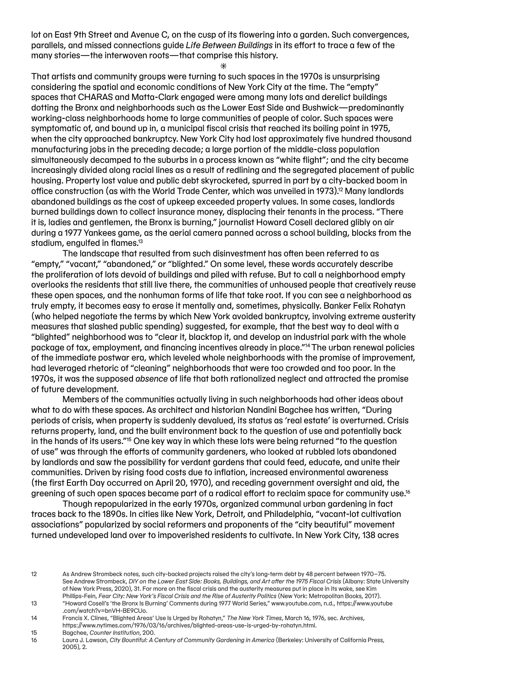lot on East 9th Street and Avenue C, on the cusp of its flowering into a garden. Such convergences, parallels, and missed connections guide *Life Between Buildings* in its effort to trace a few of the many stories—the interwoven roots—that comprise this history.

 $\ast$ 

That artists and community groups were turning to such spaces in the 1970s is unsurprising considering the spatial and economic conditions of New York City at the time. The "empty" spaces that CHARAS and Matta-Clark engaged were among many lots and derelict buildings dotting the Bronx and neighborhoods such as the Lower East Side and Bushwick—predominantly working-class neighborhoods home to large communities of people of color. Such spaces were symptomatic of, and bound up in, a municipal fiscal crisis that reached its boiling point in 1975, when the city approached bankruptcy. New York City had lost approximately five hundred thousand manufacturing jobs in the preceding decade; a large portion of the middle-class population simultaneously decamped to the suburbs in a process known as "white flight"; and the city became increasingly divided along racial lines as a result of redlining and the segregated placement of public housing. Property lost value and public debt skyrocketed, spurred in part by a city-backed boom in office construction (as with the World Trade Center, which was unveiled in 1973).<sup>12</sup> Many landlords abandoned buildings as the cost of upkeep exceeded property values. In some cases, landlords burned buildings down to collect insurance money, displacing their tenants in the process. "There it is, ladies and gentlemen, the Bronx is burning," journalist Howard Cosell declared glibly on air during a 1977 Yankees game, as the aerial camera panned across a school building, blocks from the stadium, engulfed in flames.<sup>13</sup>

The landscape that resulted from such disinvestment has often been referred to as "empty," "vacant," "abandoned," or "blighted." On some level, these words accurately describe the proliferation of lots devoid of buildings and piled with refuse. But to call a neighborhood empty overlooks the residents that still live there, the communities of unhoused people that creatively reuse these open spaces, and the nonhuman forms of life that take root. If you can see a neighborhood as truly empty, it becomes easy to erase it mentally and, sometimes, physically. Banker Felix Rohatyn (who helped negotiate the terms by which New York avoided bankruptcy, involving extreme austerity measures that slashed public spending) suggested, for example, that the best way to deal with a "blighted" neighborhood was to "clear it, blacktop it, and develop an industrial park with the whole package of tax, employment, and financing incentives already in place."14The urban renewal policies of the immediate postwar era, which leveled whole neighborhoods with the promise of improvement, had leveraged rhetoric of "cleaning" neighborhoods that were too crowded and too poor. In the 1970s, it was the supposed *absence* of life that both rationalized neglect and attracted the promise of future development.

Members of the communities actually living in such neighborhoods had other ideas about what to do with these spaces. As architect and historian Nandini Bagchee has written, "During periods of crisis, when property is suddenly devalued, its status as 'real estate' is overturned. Crisis returns property, land, and the built environment back to the question of use and potentially back in the hands of its users."<sup>5</sup> One key way in which these lots were being returned "to the question of use" was through the efforts of community gardeners, who looked at rubbled lots abandoned by landlords and saw the possibility for verdant gardens that could feed, educate, and unite their communities. Driven by rising food costs due to inflation, increased environmental awareness (the first Earth Day occurred on April 20, 1970), and receding government oversight and aid, the greening of such open spaces became part of a radical effort to reclaim space for community use.<sup>16</sup>

Though repopularized in the early 1970s, organized communal urban gardening in fact traces back to the 1890s. In cities like New York, Detroit, and Philadelphia, "vacant-lot cultivation associations" popularized by social reformers and proponents of the "city beautiful" movement turned undeveloped land over to impoverished residents to cultivate. In New York City, 138 acres

<sup>12</sup> As Andrew Strombeck notes, such city-backed projects raised the city's long-term debt by 48 percent between 1970–75. See Andrew Strombeck, *DIY on the Lower East Side: Books, Buildings, and Art after the 1975 Fiscal Crisis* (Albany: State University of New York Press, 2020), 31. For more on the fiscal crisis and the austerity measures put in place in its wake, see Kim Phillips-Fein, *Fear City: New York's Fiscal Crisis and the Rise of Austerity Politics* (New York: Metropolitan Books, 2017).

<sup>13</sup> "Howard Cosell's 'the Bronx Is Burning' Comments during 1977 World Series," www.youtube.com, n.d., https://www.youtube .com/watch?v=bnVH-BE9CUo.

<sup>14</sup> Francis X. Clines, "Blighted Areas' Use Is Urged by Rohatyn," *The New York Times*, March 16, 1976, sec. Archives, https://www.nytimes.com/1976/03/16/archives/blighted-areas-use-is-urged-by-rohatyn.html.

<sup>15</sup> Bagchee, *Counter Institution*, 200.

<sup>16</sup> Laura J. Lawson, *City Bountiful: A Century of Community Gardening in America* (Berkeley: University of California Press, 2005), 2.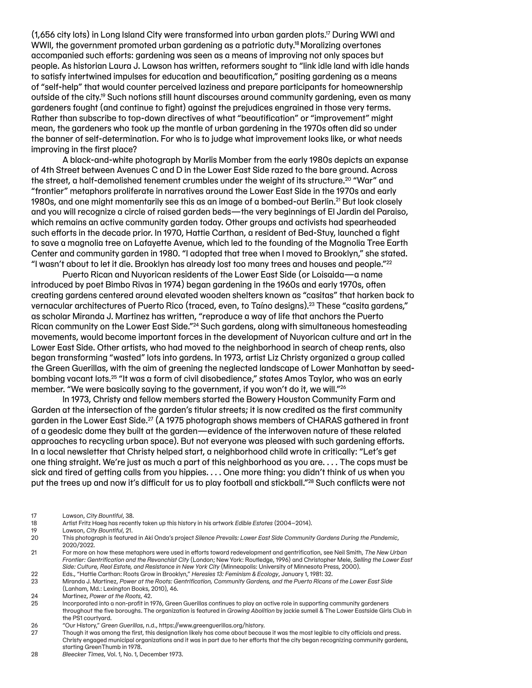(1,656 city lots) in Long Island City were transformed into urban garden plots.17 During WWI and WWII, the government promoted urban gardening as a patriotic duty.<sup>18</sup>Moralizing overtones accompanied such efforts: gardening was seen as a means of improving not only spaces but people. As historian Laura J. Lawson has written, reformers sought to "link idle land with idle hands to satisfy intertwined impulses for education and beautification," positing gardening as a means of "self-help" that would counter perceived laziness and prepare participants for homeownership outside of the city.<sup>19</sup> Such notions still haunt discourses around community gardening, even as many gardeners fought (and continue to fight) against the prejudices engrained in those very terms. Rather than subscribe to top-down directives of what "beautification" or "improvement" might mean, the gardeners who took up the mantle of urban gardening in the 1970s often did so under the banner of self-determination. For who is to judge what improvement looks like, or what needs improving in the first place?

A black-and-white photograph by Marlis Momber from the early 1980s depicts an expanse of 4th Street between Avenues C and D in the Lower East Side razed to the bare ground. Across the street, a half-demolished tenement crumbles under the weight of its structure.<sup>20</sup> "War" and "frontier" metaphors proliferate in narratives around the Lower East Side in the 1970s and early 1980s, and one might momentarily see this as an image of a bombed-out Berlin.<sup>21</sup> But look closely and you will recognize a circle of raised garden beds—the very beginnings of El Jardin del Paraiso, which remains an active community garden today. Other groups and activists had spearheaded such efforts in the decade prior. In 1970, Hattie Carthan, a resident of Bed-Stuy, launched a fight to save a magnolia tree on Lafayette Avenue, which led to the founding of the Magnolia Tree Earth Center and community garden in 1980. "I adopted that tree when I moved to Brooklyn," she stated. "I wasn't about to let it die. Brooklyn has already lost too many trees and houses and people."22

Puerto Rican and Nuyorican residents of the Lower East Side (or Loisaida—a name introduced by poet Bimbo Rivas in 1974) began gardening in the 1960s and early 1970s, often creating gardens centered around elevated wooden shelters known as "casitas" that harken back to vernacular architectures of Puerto Rico (traced, even, to Taíno designs).23 These "casita gardens," as scholar Miranda J. Martinez has written, "reproduce a way of life that anchors the Puerto Rican community on the Lower East Side."<sup>24</sup> Such gardens, along with simultaneous homesteading movements, would become important forces in the development of Nuyorican culture and art in the Lower East Side. Other artists, who had moved to the neighborhood in search of cheap rents, also began transforming "wasted" lots into gardens. In 1973, artist Liz Christy organized a group called the Green Guerillas, with the aim of greening the neglected landscape of Lower Manhattan by seedbombing vacant lots.25 "It was a form of civil disobedience," states Amos Taylor, who was an early member. "We were basically saying to the government, if you won't do it, we will."26

In 1973, Christy and fellow members started the Bowery Houston Community Farm and Garden at the intersection of the garden's titular streets; it is now credited as the first community garden in the Lower East Side.<sup>27</sup> (A 1975 photograph shows members of CHARAS gathered in front of a geodesic dome they built at the garden—evidence of the interwoven nature of these related approaches to recycling urban space). But not everyone was pleased with such gardening efforts. In a local newsletter that Christy helped start, a neighborhood child wrote in critically: "Let's get one thing straight. We're just as much a part of this neighborhood as you are. . . . The cops must be sick and tired of getting calls from you hippies. . . . One more thing: you didn't think of us when you put the trees up and now it's difficult for us to play football and stickball."<sup>28</sup> Such conflicts were not

- 17 Lawson, *City Bountiful*, 38.
- 18 Artist Fritz Haeg has recently taken up this history in his artwork *Edible Estates* (2004–2014).
- 19 Lawson, *City Bountiful*, 21.
- 20 This photograph is featured in Aki Onda's project *Silence Prevails: Lower East Side Community Gardens During the Pandemic*, 2020/2022.
- 21 For more on how these metaphors were used in efforts toward redevelopment and gentrification, see Neil Smith, *The New Urban Frontier: Gentrification and the Revanchist City* (London; New York: Routledge, 1996) and Christopher Mele, *Selling the Lower East Side: Culture, Real Estate, and Resistance in New York City* (Minneapolis: University of Minnesota Press, 2000).
- 22 Eds., "Hattie Carthan: Roots Grow in Brooklyn," *Heresies 13: Feminism & Ecology*, January 1, 1981: 32.

23 Miranda J. Martinez, *Power at the Roots: Gentrification, Community Gardens, and the Puerto Ricans of the Lower East Side*  (Lanham, Md.: Lexington Books, 2010), 46.

24 Martinez, *Power at the Roots*, 42.

25 Incorporated into a non-profit in 1976, Green Guerillas continues to play an active role in supporting community gardeners throughout the five boroughs. The organization is featured in *Growing Abolition* by jackie sumell & The Lower Eastside Girls Club in the PS1 courtyard.

26 "Our History," *Green Guerillas*, n.d., https://www.greenguerillas.org/history.

27 Though it was among the first, this designation likely has come about because it was the most legible to city officials and press. Christy engaged municipal organizations and it was in part due to her efforts that the city began recognizing community gardens, starting GreenThumb in 1978.

28 *Bleecker Times*, Vol. 1, No. 1, December 1973.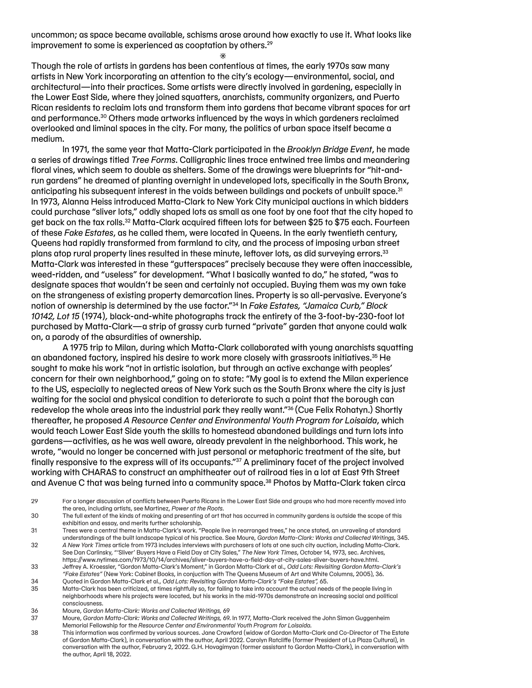uncommon; as space became available, schisms arose around how exactly to use it. What looks like improvement to some is experienced as cooptation by others.<sup>29</sup>  $\ast$ 

Though the role of artists in gardens has been contentious at times, the early 1970s saw many artists in New York incorporating an attention to the city's ecology—environmental, social, and architectural—into their practices. Some artists were directly involved in gardening, especially in the Lower East Side, where they joined squatters, anarchists, community organizers, and Puerto Rican residents to reclaim lots and transform them into gardens that became vibrant spaces for art and performance.30 Others made artworks influenced by the ways in which gardeners reclaimed overlooked and liminal spaces in the city. For many, the politics of urban space itself became a medium.

In 1971, the same year that Matta-Clark participated in the *Brooklyn Bridge Event*, he made a series of drawings titled *Tree Forms*. Calligraphic lines trace entwined tree limbs and meandering floral vines, which seem to double as shelters. Some of the drawings were blueprints for "hit-andrun gardens" he dreamed of planting overnight in undeveloped lots, specifically in the South Bronx, anticipating his subsequent interest in the voids between buildings and pockets of unbuilt space.<sup>31</sup> In 1973, Alanna Heiss introduced Matta-Clark to New York City municipal auctions in which bidders could purchase "sliver lots," oddly shaped lots as small as one foot by one foot that the city hoped to get back on the tax rolls.32 Matta-Clark acquired fifteen lots for between \$25 to \$75 each. Fourteen of these *Fake Estates*, as he called them, were located in Queens. In the early twentieth century, Queens had rapidly transformed from farmland to city, and the process of imposing urban street plans atop rural property lines resulted in these minute, leftover lots, as did surveying errors.33 Matta-Clark was interested in these "gutterspaces" precisely because they were often inaccessible, weed-ridden, and "useless" for development. "What I basically wanted to do," he stated, "was to designate spaces that wouldn't be seen and certainly not occupied. Buying them was my own take on the strangeness of existing property demarcation lines. Property is so all-pervasive. Everyone's notion of ownership is determined by the use factor."34 In *Fake Estates, "Jamaica Curb," Block 10142, Lot 15* (1974)*,* black-and-white photographs track the entirety of the 3-foot-by-230-foot lot purchased by Matta-Clark—a strip of grassy curb turned "private" garden that anyone could walk on, a parody of the absurdities of ownership.

A 1975 trip to Milan, during which Matta-Clark collaborated with young anarchists squatting an abandoned factory, inspired his desire to work more closely with grassroots initiatives.<sup>35</sup> He sought to make his work "not in artistic isolation, but through an active exchange with peoples' concern for their own neighborhood," going on to state: "My goal is to extend the Milan experience to the US, especially to neglected areas of New York such as the South Bronx where the city is just waiting for the social and physical condition to deteriorate to such a point that the borough can redevelop the whole areas into the industrial park they really want."36 (Cue Felix Rohatyn.) Shortly thereafter, he proposed *A Resource Center and Environmental Youth Program for Loisaida*, which would teach Lower East Side youth the skills to homestead abandoned buildings and turn lots into gardens—activities, as he was well aware, already prevalent in the neighborhood. This work, he wrote, "would no longer be concerned with just personal or metaphoric treatment of the site, but finally responsive to the express will of its occupants."37 A preliminary facet of the project involved working with CHARAS to construct an amphitheater out of railroad ties in a lot at East 9th Street and Avenue C that was being turned into a community space.<sup>38</sup> Photos by Matta-Clark taken circa

- 29 For a longer discussion of conflicts between Puerto Ricans in the Lower East Side and groups who had more recently moved into the area, including artists, see Martinez, *Power at the Roots.*
- 30 The full extent of the kinds of making and presenting of art that has occurred in community gardens is outside the scope of this exhibition and essay, and merits further scholarship.
- 31 Trees were a central theme in Matta-Clark's work. "People live in rearranged trees," he once stated, an unraveling of standard understandings of the built landscape typical of his practice. See Moure, *Gordon Matta-Clark: Works and Collected Writings,* 345. 32 *A New York Times* article from 1973 includes interviews with purchasers of lots at one such city auction, including Matta-Clark.
- See Dan Carlinsky, "'Sliver' Buyers Have a Field Day at City Sales," *The New York Times*, October 14, 1973, sec. Archives, https://www.nytimes.com/1973/10/14/archives/sliver-buyers-have-a-field-day-at-city-sales-sliver-buyers-have.html. 33 Jeffrey A. Kroessler, "Gordon Matta-Clark's Moment," in Gordon Matta-Clark et al., *Odd Lots: Revisiting Gordon Matta-Clark's*
- *"Fake Estates"* (New York: Cabinet Books, in conjuction with The Queens Museum of Art and White Columns, 2005), 36. 34 Quoted in Gordon Matta-Clark et al., *Odd Lots: Revisiting Gordon Matta-Clark's "Fake Estates",* 65.
- 35 Matta-Clark has been criticized, at times rightfully so, for failing to take into account the actual needs of the people living in neighborhoods where his projects were located, but his works in the mid-1970s demonstrate an increasing social and political consciousness.
- 36 Moure, *Gordon Matta-Clark: Works and Collected Writings,* 69
- 37 Moure, *Gordon Matta-Clark: Works and Collected Writings,* 69. In 1977, Matta-Clark received the John Simon Guggenheim Memorial Fellowship for the *Resource Center and Environmental Youth Program for Loisaida.*
- 38 This information was confirmed by various sources. Jane Crawford (widow of Gordon Matta-Clark and Co-Director of The Estate of Gordon Matta-Clark), in conversation with the author, April 2022. Carolyn Ratcliffe (former President of La Plaza Cultural), in conversation with the author, February 2, 2022. G.H. Hovagimyan (former assistant to Gordon Matta-Clark), in conversation with the author, April 18, 2022.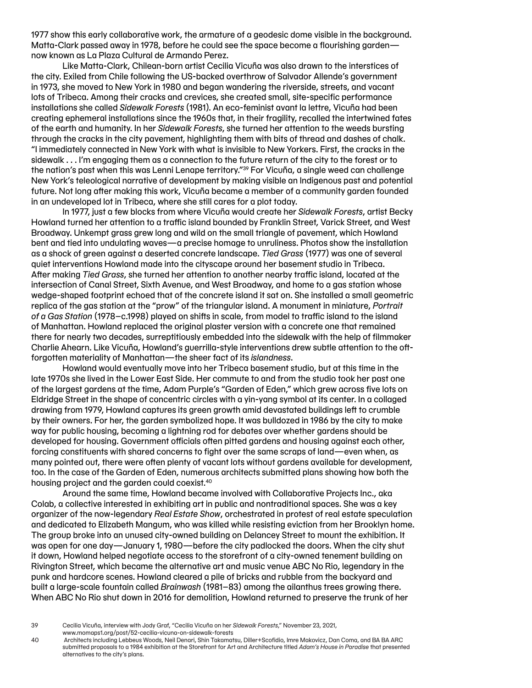1977 show this early collaborative work, the armature of a geodesic dome visible in the background. Matta-Clark passed away in 1978, before he could see the space become a flourishing garden now known as La Plaza Cultural de Armando Perez.

Like Matta-Clark, Chilean-born artist Cecilia Vicuña was also drawn to the interstices of the city. Exiled from Chile following the US-backed overthrow of Salvador Allende's government in 1973, she moved to New York in 1980 and began wandering the riverside, streets, and vacant lots of Tribeca. Among their cracks and crevices, she created small, site-specific performance installations she called *Sidewalk Forests* (1981). An eco-feminist avant la lettre, Vicuña had been creating ephemeral installations since the 1960s that, in their fragility, recalled the intertwined fates of the earth and humanity. In her *Sidewalk Forests*, she turned her attention to the weeds bursting through the cracks in the city pavement, highlighting them with bits of thread and dashes of chalk. "I immediately connected in New York with what is invisible to New Yorkers. First, the cracks in the sidewalk . . . I'm engaging them as a connection to the future return of the city to the forest or to the nation's past when this was Lenni Lenape territory."<sup>39</sup> For Vicuña, a single weed can challenge New York's teleological narrative of development by making visible an Indigenous past and potential future. Not long after making this work, Vicuña became a member of a community garden founded in an undeveloped lot in Tribeca, where she still cares for a plot today.

In 1977, just a few blocks from where Vicuña would create her *Sidewalk Forests*, artist Becky Howland turned her attention to a traffic island bounded by Franklin Street, Varick Street, and West Broadway. Unkempt grass grew long and wild on the small triangle of pavement, which Howland bent and tied into undulating waves—a precise homage to unruliness. Photos show the installation as a shock of green against a deserted concrete landscape. *Tied Grass* (1977) was one of several quiet interventions Howland made into the cityscape around her basement studio in Tribeca. After making *Tied Grass*, she turned her attention to another nearby traffic island, located at the intersection of Canal Street, Sixth Avenue, and West Broadway, and home to a gas station whose wedge-shaped footprint echoed that of the concrete island it sat on. She installed a small geometric replica of the gas station at the "prow" of the triangular island. A monument in miniature, *Portrait of a Gas Station* (1978–c.1998) played on shifts in scale, from model to traffic island to the island of Manhattan. Howland replaced the original plaster version with a concrete one that remained there for nearly two decades, surreptitiously embedded into the sidewalk with the help of filmmaker Charlie Ahearn. Like Vicuña, Howland's guerrilla-style interventions drew subtle attention to the oftforgotten materiality of Manhattan—the sheer fact of its *islandness*.

Howland would eventually move into her Tribeca basement studio, but at this time in the late 1970s she lived in the Lower East Side. Her commute to and from the studio took her past one of the largest gardens at the time, Adam Purple's "Garden of Eden," which grew across five lots on Eldridge Street in the shape of concentric circles with a yin-yang symbol at its center. In a collaged drawing from 1979, Howland captures its green growth amid devastated buildings left to crumble by their owners. For her, the garden symbolized hope. It was bulldozed in 1986 by the city to make way for public housing, becoming a lightning rod for debates over whether gardens should be developed for housing. Government officials often pitted gardens and housing against each other, forcing constituents with shared concerns to fight over the same scraps of land—even when, as many pointed out, there were often plenty of vacant lots without gardens available for development, too. In the case of the Garden of Eden, numerous architects submitted plans showing how both the housing project and the garden could coexist.40

Around the same time, Howland became involved with Collaborative Projects Inc., aka Colab, a collective interested in exhibiting art in public and nontraditional spaces. She was a key organizer of the now-legendary *Real Estate Show*, orchestrated in protest of real estate speculation and dedicated to Elizabeth Mangum, who was killed while resisting eviction from her Brooklyn home. The group broke into an unused city-owned building on Delancey Street to mount the exhibition. It was open for one day—January 1, 1980—before the city padlocked the doors. When the city shut it down, Howland helped negotiate access to the storefront of a city-owned tenement building on Rivington Street, which became the alternative art and music venue ABC No Rio, legendary in the punk and hardcore scenes. Howland cleared a pile of bricks and rubble from the backyard and built a large-scale fountain called *Brainwash* (1981–83) among the ailanthus trees growing there. When ABC No Rio shut down in 2016 for demolition, Howland returned to preserve the trunk of her

<sup>39</sup> Cecilia Vicuña, interview with Jody Graf, "Cecilia Vicuña on her *Sidewalk Forests*," November 23, 2021, www.momaps1.org/post/52-cecilia-vicuna-on-sidewalk-forests

<sup>40</sup> Architects including Lebbeus Woods, Neil Denari, Shin Takamatsu, Diller+Scofidio, Imre Makovicz, Dan Coma, and BA BA ARC submitted proposals to a 1984 exhibition at the Storefront for Art and Architecture titled *Adam's House in Paradise* that presented alternatives to the city's plans.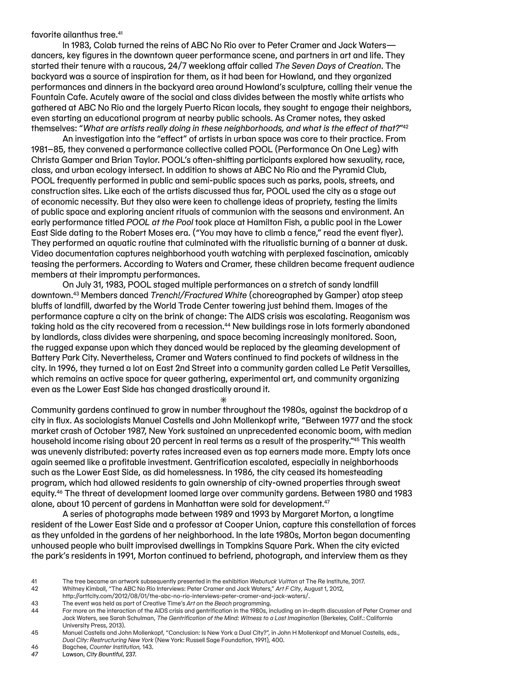favorite ailanthus tree.41

In 1983, Colab turned the reins of ABC No Rio over to Peter Cramer and Jack Waters dancers, key figures in the downtown queer performance scene, and partners in art and life. They started their tenure with a raucous, 24/7 weeklong affair called *The Seven Days of Creation*. The backyard was a source of inspiration for them, as it had been for Howland, and they organized performances and dinners in the backyard area around Howland's sculpture, calling their venue the Fountain Cafe. Acutely aware of the social and class divides between the mostly white artists who gathered at ABC No Rio and the largely Puerto Rican locals, they sought to engage their neighbors, even starting an educational program at nearby public schools. As Cramer notes, they asked themselves: "*What are artists really doing in these neighborhoods, and what is the effect of that?*"42

An investigation into the "effect" of artists in urban space was core to their practice. From 1981–85, they convened a performance collective called POOL (Performance On One Leg) with Christa Gamper and Brian Taylor. POOL's often-shifting participants explored how sexuality, race, class, and urban ecology intersect. In addition to shows at ABC No Rio and the Pyramid Club, POOL frequently performed in public and semi-public spaces such as parks, pools, streets, and construction sites. Like each of the artists discussed thus far, POOL used the city as a stage out of economic necessity. But they also were keen to challenge ideas of propriety, testing the limits of public space and exploring ancient rituals of communion with the seasons and environment. An early performance titled *POOL at the Pool* took place at Hamilton Fish, a public pool in the Lower East Side dating to the Robert Moses era. ("You may have to climb a fence," read the event flyer). They performed an aquatic routine that culminated with the ritualistic burning of a banner at dusk. Video documentation captures neighborhood youth watching with perplexed fascination, amicably teasing the performers. According to Waters and Cramer, these children became frequent audience members at their impromptu performances.

On July 31, 1983, POOL staged multiple performances on a stretch of sandy landfill downtown.43 Members danced *Trench!/Fractured White* (choreographed by Gamper) atop steep bluffs of landfill, dwarfed by the World Trade Center towering just behind them. Images of the performance capture a city on the brink of change: The AIDS crisis was escalating. Reaganism was taking hold as the city recovered from a recession.<sup>44</sup> New buildings rose in lots formerly abandoned by landlords, class divides were sharpening, and space becoming increasingly monitored. Soon, the rugged expanse upon which they danced would be replaced by the gleaming development of Battery Park City. Nevertheless, Cramer and Waters continued to find pockets of wildness in the city. In 1996, they turned a lot on East 2nd Street into a community garden called Le Petit Versailles, which remains an active space for queer gathering, experimental art, and community organizing even as the Lower East Side has changed drastically around it.

Community gardens continued to grow in number throughout the 1980s, against the backdrop of a city in flux. As sociologists Manuel Castells and John Mollenkopf write, "Between 1977 and the stock market crash of October 1987, New York sustained an unprecedented economic boom, with median household income rising about 20 percent in real terms as a result of the prosperity."45 This wealth was unevenly distributed: poverty rates increased even as top earners made more. Empty lots once again seemed like a profitable investment. Gentrification escalated, especially in neighborhoods such as the Lower East Side, as did homelessness. In 1986, the city ceased its homesteading program, which had allowed residents to gain ownership of city-owned properties through sweat equity.46 The threat of development loomed large over community gardens. Between 1980 and 1983 alone, about 10 percent of gardens in Manhattan were sold for development.47

 $\ast$ 

A series of photographs made between 1989 and 1993 by Margaret Morton, a longtime resident of the Lower East Side and a professor at Cooper Union, capture this constellation of forces as they unfolded in the gardens of her neighborhood. In the late 1980s, Morton began documenting unhoused people who built improvised dwellings in Tompkins Square Park. When the city evicted the park's residents in 1991, Morton continued to befriend, photograph, and interview them as they

- 46 Bagchee, *Counter Institution,* 143.
- *47* Lawson, *City Bountiful*, 237.

<sup>41</sup> The tree became an artwork subsequently presented in the exhibition *Webutuck Vuitton* at The Re Institute, 2017.

<sup>42</sup> Whitney Kimball, "The ABC No Rio Interviews: Peter Cramer and Jack Waters," *Art F City*, August 1, 2012,

http://artfcity.com/2012/08/01/the-abc-no-rio-interviews-peter-cramer-and-jack-waters/. 43 The event was held as part of Creative Time's *Art on the Beach* programming.

<sup>44</sup> For more on the interaction of the AIDS crisis and gentrification in the 1980s, including an in-depth discussion of Peter Cramer and Jack Waters, see Sarah Schulman, *The Gentrification of the Mind: Witness to a Lost Imagination* (Berkeley, Calif.: California University Press, 2013).

<sup>45</sup> Manuel Castells and John Mollenkopf, "Conclusion: Is New York a Dual City?", in John H Mollenkopf and Manuel Castells, eds., *Dual City: Restructuring New York* (New York: Russell Sage Foundation, 1991), 400.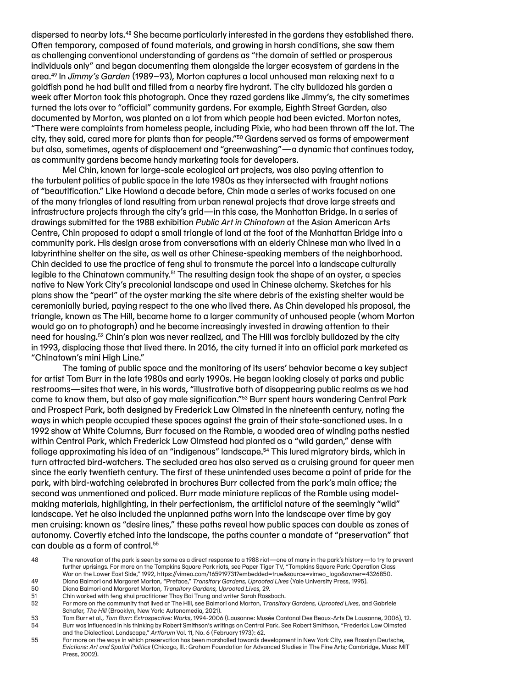dispersed to nearby lots.48 She became particularly interested in the gardens they established there. Often temporary, composed of found materials, and growing in harsh conditions, she saw them as challenging conventional understanding of gardens as "the domain of settled or prosperous individuals only" and began documenting them alongside the larger ecosystem of gardens in the area.49 In *Jimmy's Garden* (1989–93), Morton captures a local unhoused man relaxing next to a goldfish pond he had built and filled from a nearby fire hydrant. The city bulldozed his garden a week after Morton took this photograph. Once they razed gardens like Jimmy's, the city sometimes turned the lots over to "official" community gardens. For example, Eighth Street Garden, also documented by Morton, was planted on a lot from which people had been evicted. Morton notes, "There were complaints from homeless people, including Pixie, who had been thrown off the lot. The city, they said, cared more for plants than for people."50 Gardens served as forms of empowerment but also, sometimes, agents of displacement and "greenwashing"—a dynamic that continues today, as community gardens become handy marketing tools for developers.

Mel Chin, known for large-scale ecological art projects, was also paying attention to the turbulent politics of public space in the late 1980s as they intersected with fraught notions of "beautification." Like Howland a decade before, Chin made a series of works focused on one of the many triangles of land resulting from urban renewal projects that drove large streets and infrastructure projects through the city's grid—in this case, the Manhattan Bridge. In a series of drawings submitted for the 1988 exhibition *Public Art in Chinatown* at the Asian American Arts Centre, Chin proposed to adapt a small triangle of land at the foot of the Manhattan Bridge into a community park. His design arose from conversations with an elderly Chinese man who lived in a labyrinthine shelter on the site, as well as other Chinese-speaking members of the neighborhood. Chin decided to use the practice of feng shui to transmute the parcel into a landscape culturally legible to the Chinatown community.<sup>51</sup> The resulting design took the shape of an oyster, a species native to New York City's precolonial landscape and used in Chinese alchemy. Sketches for his plans show the "pearl" of the oyster marking the site where debris of the existing shelter would be ceremonially buried, paying respect to the one who lived there. As Chin developed his proposal, the triangle, known as The Hill, became home to a larger community of unhoused people (whom Morton would go on to photograph) and he became increasingly invested in drawing attention to their need for housing.52 Chin's plan was never realized, and The Hill was forcibly bulldozed by the city in 1993, displacing those that lived there. In 2016, the city turned it into an official park marketed as "Chinatown's mini High Line."

The taming of public space and the monitoring of its users' behavior became a key subject for artist Tom Burr in the late 1980s and early 1990s. He began looking closely at parks and public restrooms—sites that were, in his words, "illustrative both of disappearing public realms as we had come to know them, but also of gay male signification."53 Burr spent hours wandering Central Park and Prospect Park, both designed by Frederick Law Olmsted in the nineteenth century, noting the ways in which people occupied these spaces against the grain of their state-sanctioned uses. In a 1992 show at White Columns, Burr focused on the Ramble, a wooded area of winding paths nestled within Central Park, which Frederick Law Olmstead had planted as a "wild garden," dense with foliage approximating his idea of an "indigenous" landscape.54 This lured migratory birds, which in turn attracted bird-watchers. The secluded area has also served as a cruising ground for queer men since the early twentieth century. The first of these unintended uses became a point of pride for the park, with bird-watching celebrated in brochures Burr collected from the park's main office; the second was unmentioned and policed. Burr made miniature replicas of the Ramble using modelmaking materials, highlighting, in their perfectionism, the artificial nature of the seemingly "wild" landscape. Yet he also included the unplanned paths worn into the landscape over time by gay men cruising: known as "desire lines," these paths reveal how public spaces can double as zones of autonomy. Covertly etched into the landscape, the paths counter a mandate of "preservation" that can double as a form of control.<sup>55</sup>

- 49 Diana Balmori and Margaret Morton, "Preface," *Transitory Gardens, Uprooted Lives* (Yale University Press, 1995). 50 Diana Balmori and Margaret Morton, *Transitory Gardens, Uprooted Lives,* 29.
- 51 Chin worked with feng shui practitioner Thay Boi Trung and writer Sarah Rossbach.
- 52 For more on the community that lived at The Hill, see Balmori and Morton, *Transitory Gardens, Uprooted Lives*, and Gabriele Schafer, *The Hill* (Brooklyn, New York: Autonomedia, 2021).
- 53 Tom Burr et al., *Tom Burr: Extrospective: Works*, 1994-2006 (Lausanne: Musée Cantonal Des Beaux-Arts De Lausanne, 2006), 12. 54 Burr was influenced in his thinking by Robert Smithson's writings on Central Park. See Robert Smithson, "Frederick Law Olmsted and the Dialectical. Landscape," *Artforum* Vol. 11, No. 6 (February 1973): 62.
- 55 For more on the ways in which preservation has been marshalled towards development in New York City, see Rosalyn Deutsche, *Evictions: Art and Spatial Politics* (Chicago, Ill.: Graham Foundation for Advanced Studies in The Fine Arts; Cambridge, Mass: MIT Press, 2002).

<sup>48</sup> The renovation of the park is seen by some as a direct response to a 1988 riot—one of many in the park's history—to try to prevent further uprisings. For more on the Tompkins Square Park riots, see Paper Tiger TV, "Tompkins Square Park: Operation Class War on the Lower East Side," 1992, https://vimeo.com/165919731?embedded=true&source=vimeo\_logo&owner=4326850.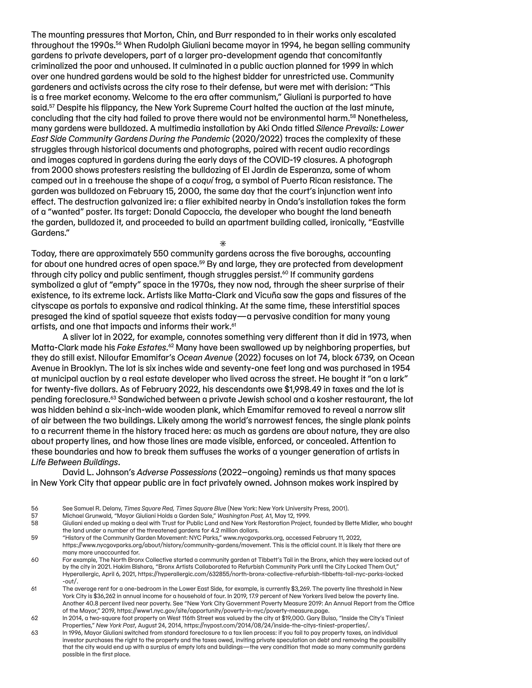The mounting pressures that Morton, Chin, and Burr responded to in their works only escalated throughout the 1990s.56 When Rudolph Giuliani became mayor in 1994, he began selling community gardens to private developers, part of a larger pro-development agenda that concomitantly criminalized the poor and unhoused. It culminated in a public auction planned for 1999 in which over one hundred gardens would be sold to the highest bidder for unrestricted use. Community gardeners and activists across the city rose to their defense, but were met with derision: "This is a free market economy. Welcome to the era after communism," Giuliani is purported to have said.<sup>57</sup> Despite his flippancy, the New York Supreme Court halted the auction at the last minute, concluding that the city had failed to prove there would not be environmental harm.58 Nonetheless, many gardens were bulldozed. A multimedia installation by Aki Onda titled *Silence Prevails: Lower East Side Community Gardens During the Pandemic* (2020/2022) traces the complexity of these struggles through historical documents and photographs, paired with recent audio recordings and images captured in gardens during the early days of the COVID-19 closures. A photograph from 2000 shows protesters resisting the bulldozing of El Jardin de Esperanza, some of whom camped out in a treehouse the shape of a *coquí* frog, a symbol of Puerto Rican resistance. The garden was bulldozed on February 15, 2000, the same day that the court's injunction went into effect. The destruction galvanized ire: a flier exhibited nearby in Onda's installation takes the form of a "wanted" poster. Its target: Donald Capoccia, the developer who bought the land beneath the garden, bulldozed it, and proceeded to build an apartment building called, ironically, "Eastville Gardens."

 $*$ 

Today, there are approximately 550 community gardens across the five boroughs, accounting for about one hundred acres of open space.<sup>59</sup> By and large, they are protected from development through city policy and public sentiment, though struggles persist.<sup>60</sup> If community gardens symbolized a glut of "empty" space in the 1970s, they now nod, through the sheer surprise of their existence, to its extreme lack. Artists like Matta-Clark and Vicuña saw the gaps and fissures of the cityscape as portals to expansive and radical thinking. At the same time, these interstitial spaces presaged the kind of spatial squeeze that exists today—a pervasive condition for many young artists, and one that impacts and informs their work.<sup>61</sup>

A sliver lot in 2022, for example, connotes something very different than it did in 1973, when Matta-Clark made his *Fake Estates*.<sup>62</sup> Many have been swallowed up by neighboring properties, but they do still exist. Niloufar Emamifar's *Ocean Avenue* (2022) focuses on lot 74, block 6739, on Ocean Avenue in Brooklyn. The lot is six inches wide and seventy-one feet long and was purchased in 1954 at municipal auction by a real estate developer who lived across the street. He bought it "on a lark" for twenty-five dollars. As of February 2022, his descendants owe \$1,998.49 in taxes and the lot is pending foreclosure.63 Sandwiched between a private Jewish school and a kosher restaurant, the lot was hidden behind a six-inch-wide wooden plank, which Emamifar removed to reveal a narrow slit of air between the two buildings. Likely among the world's narrowest fences, the single plank points to a recurrent theme in the history traced here: as much as gardens are about nature, they are also about property lines, and how those lines are made visible, enforced, or concealed. Attention to these boundaries and how to break them suffuses the works of a younger generation of artists in *Life Between Buildings*.

David L. Johnson's *Adverse Possessions* (2022–ongoing) reminds us that many spaces in New York City that appear public are in fact privately owned. Johnson makes work inspired by

57 Michael Grunwald, "Mayor Giuliani Holds a Garden Sale," *Washington Post,* A1, May 12, 1999.

- 60 For example, The North Bronx Collective started a community garden at Tibbett's Tail in the Bronx, which they were locked out of by the city in 2021. Hakim Bishara, "Bronx Artists Collaborated to Refurbish Community Park until the City Locked Them Out," Hyperallergic, April 6, 2021, https://hyperallergic.com/632855/north-bronx-collective-refurbish-tibbetts-tail-nyc-parks-locked -out/.
- 61 The average rent for a one-bedroom in the Lower East Side, for example, is currently \$3,269. The poverty line threshold in New York City is \$36,262 in annual income for a household of four. In 2019, 17.9 percent of New Yorkers lived below the poverty line. Another 40.8 percent lived near poverty. See "New York City Government Poverty Measure 2019: An Annual Report from the Office of the Mayor," 2019, https://www1.nyc.gov/site/opportunity/poverty-in-nyc/poverty-measure.page.
- 62 In 2014, a two-square foot property on West 116th Street was valued by the city at \$19,000. Gary Buiso, "Inside the City's Tiniest Properties," *New York Post*, August 24, 2014, https://nypost.com/2014/08/24/inside-the-citys-tiniest-properties/.
- 63 In 1996, Mayor Giuliani switched from standard foreclosure to a tax lien process: if you fail to pay property taxes, an individual investor purchases the right to the property and the taxes owed, inviting private speculation on debt and removing the possibility that the city would end up with a surplus of empty lots and buildings—the very condition that made so many community gardens possible in the first place.

<sup>56</sup> See Samuel R. Delany, *Times Square Red, Times Square Blue* (New York: New York University Press, 2001).

<sup>58</sup> Giuliani ended up making a deal with Trust for Public Land and New York Restoration Project, founded by Bette Midler, who bought the land under a number of the threatened gardens for 4.2 million dollars.

<sup>59</sup> "History of the Community Garden Movement: NYC Parks," www.nycgovparks.org, accessed February 11, 2022, https://www.nycgovparks.org/about/history/community-gardens/movement. This is the official count. It is likely that there are many more unaccounted for.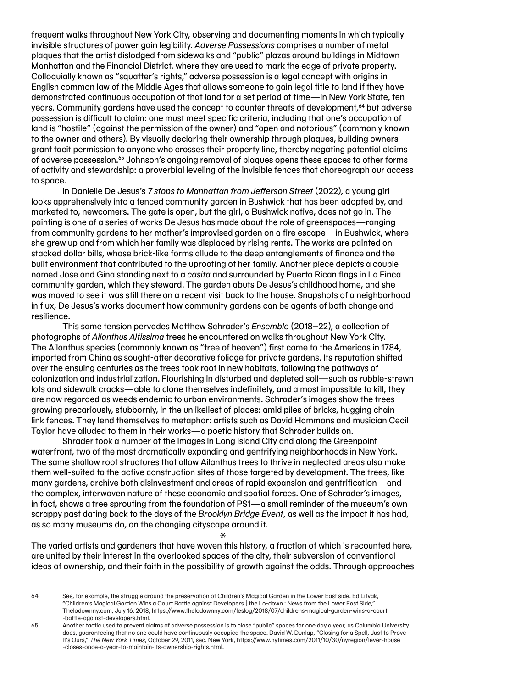frequent walks throughout New York City, observing and documenting moments in which typically invisible structures of power gain legibility. *Adverse Possessions* comprises a number of metal plaques that the artist dislodged from sidewalks and "public" plazas around buildings in Midtown Manhattan and the Financial District, where they are used to mark the edge of private property. Colloquially known as "squatter's rights," adverse possession is a legal concept with origins in English common law of the Middle Ages that allows someone to gain legal title to land if they have demonstrated continuous occupation of that land for a set period of time—in New York State, ten years. Community gardens have used the concept to counter threats of development,<sup>64</sup> but adverse possession is difficult to claim: one must meet specific criteria, including that one's occupation of land is "hostile" (against the permission of the owner) and "open and notorious" (commonly known to the owner and others). By visually declaring their ownership through plaques, building owners grant tacit permission to anyone who crosses their property line, thereby negating potential claims of adverse possession.65 Johnson's ongoing removal of plaques opens these spaces to other forms of activity and stewardship: a proverbial leveling of the invisible fences that choreograph our access to space.

In Danielle De Jesus's *7 stops to Manhattan from Jefferson Street* (2022), a young girl looks apprehensively into a fenced community garden in Bushwick that has been adopted by, and marketed to, newcomers. The gate is open, but the girl, a Bushwick native, does not go in. The painting is one of a series of works De Jesus has made about the role of greenspaces—ranging from community gardens to her mother's improvised garden on a fire escape—in Bushwick, where she grew up and from which her family was displaced by rising rents. The works are painted on stacked dollar bills, whose brick-like forms allude to the deep entanglements of finance and the built environment that contributed to the uprooting of her family. Another piece depicts a couple named Jose and Gina standing next to a *casita* and surrounded by Puerto Rican flags in La Finca community garden, which they steward. The garden abuts De Jesus's childhood home, and she was moved to see it was still there on a recent visit back to the house. Snapshots of a neighborhood in flux, De Jesus's works document how community gardens can be agents of both change and resilience.

This same tension pervades Matthew Schrader's *Ensemble* (2018–22), a collection of photographs of *Ailanthus Altissima* trees he encountered on walks throughout New York City. The Ailanthus species (commonly known as "tree of heaven") first came to the Americas in 1784, imported from China as sought-after decorative foliage for private gardens. Its reputation shifted over the ensuing centuries as the trees took root in new habitats, following the pathways of colonization and industrialization. Flourishing in disturbed and depleted soil—such as rubble-strewn lots and sidewalk cracks—able to clone themselves indefinitely, and almost impossible to kill, they are now regarded as weeds endemic to urban environments. Schrader's images show the trees growing precariously, stubbornly, in the unlikeliest of places: amid piles of bricks, hugging chain link fences. They lend themselves to metaphor: artists such as David Hammons and musician Cecil Taylor have alluded to them in their works—a poetic history that Schrader builds on.

Shrader took a number of the images in Long Island City and along the Greenpoint waterfront, two of the most dramatically expanding and gentrifying neighborhoods in New York. The same shallow root structures that allow Ailanthus trees to thrive in neglected areas also make them well-suited to the active construction sites of those targeted by development. The trees, like many gardens, archive both disinvestment and areas of rapid expansion and gentrification—and the complex, interwoven nature of these economic and spatial forces. One of Schrader's images, in fact, shows a tree sprouting from the foundation of PS1—a small reminder of the museum's own scrappy past dating back to the days of the *Brooklyn Bridge Event*, as well as the impact it has had, as so many museums do, on the changing cityscape around it.

 $\ast$ 

The varied artists and gardeners that have woven this history, a fraction of which is recounted here, are united by their interest in the overlooked spaces of the city, their subversion of conventional ideas of ownership, and their faith in the possibility of growth against the odds. Through approaches

<sup>64</sup> See, for example, the struggle around the preservation of Children's Magical Garden in the Lower East side. Ed Litvak, "Children's Magical Garden Wins a Court Battle against Developers | the Lo-down : News from the Lower East Side," Thelodownny.com, July 16, 2018, https://www.thelodownny.com/leslog/2018/07/childrens-magical-garden-wins-a-court -battle-against-developers.html.

<sup>65</sup> Another tactic used to prevent claims of adverse possession is to close "public" spaces for one day a year, as Columbia University does, guaranteeing that no one could have continuously occupied the space. David W. Dunlap, "Closing for a Spell, Just to Prove It's Ours," *The New York Times*, October 29, 2011, sec. New York, https://www.nytimes.com/2011/10/30/nyregion/lever-house -closes-once-a-year-to-maintain-its-ownership-rights.html.